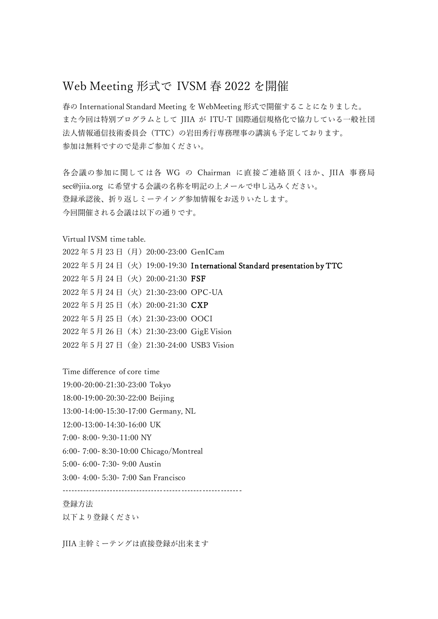## Web Meeting 形式で IVSM 春 2022 を開催

春の International Standard Meeting を WebMeeting 形式で開催することになりました。 また今回は特別プログラムとして JIIA が ITU-T 国際通信規格化で協力している一般社団 法人情報通信技術委員会(TTC)の岩田秀行専務理事の講演も予定しております。 参加は無料ですので是非ご参加ください。

各会議の参加に関しては各 WG の Chairman に直接ご連絡頂くほか、JIIA 事務局 sec@jiia.org に希望する会議の名称を明記の上メールで申し込みください。 登録承認後、折り返しミーテイング参加情報をお送りいたします。 今回開催される会議は以下の通りです。

Virtual IVSM time table.

|  |  | 2022年5月23日 (月) 20:00-23:00 GenICam     |                                                                       |
|--|--|----------------------------------------|-----------------------------------------------------------------------|
|  |  |                                        | 2022年5月24日 (火) 19:00-19:30 International Standard presentation by TTC |
|  |  | 2022年5月24日 (火) 20:00-21:30 FSF         |                                                                       |
|  |  | 2022年5月24日 (火) 21:30-23:00 OPC-UA      |                                                                       |
|  |  | 2022年5月25日(水)20:00-21:30 CXP           |                                                                       |
|  |  | 2022年5月25日 (水) 21:30-23:00 OOCI        |                                                                       |
|  |  | 2022年5月26日 (木) 21:30-23:00 GigE Vision |                                                                       |
|  |  |                                        | 2022年5月27日 (金) 21:30-24:00 USB3 Vision                                |

Time difference of core time

19:00-20:00-21:30-23:00 Tokyo

18:00-19:00-20:30-22:00 Beijing

13:00-14:00-15:30-17:00 Germany, NL

12:00-13:00-14:30-16:00 UK

7:00- 8:00- 9:30-11:00 NY

6:00- 7:00- 8:30-10:00 Chicago/Montreal

5:00- 6:00- 7:30- 9:00 Austin

3:00- 4:00- 5:30- 7:00 San Francisco

------------------------------------------------------------

## 登録方法

以下より登録ください

JIIA 主幹ミーテングは直接登録が出来ます